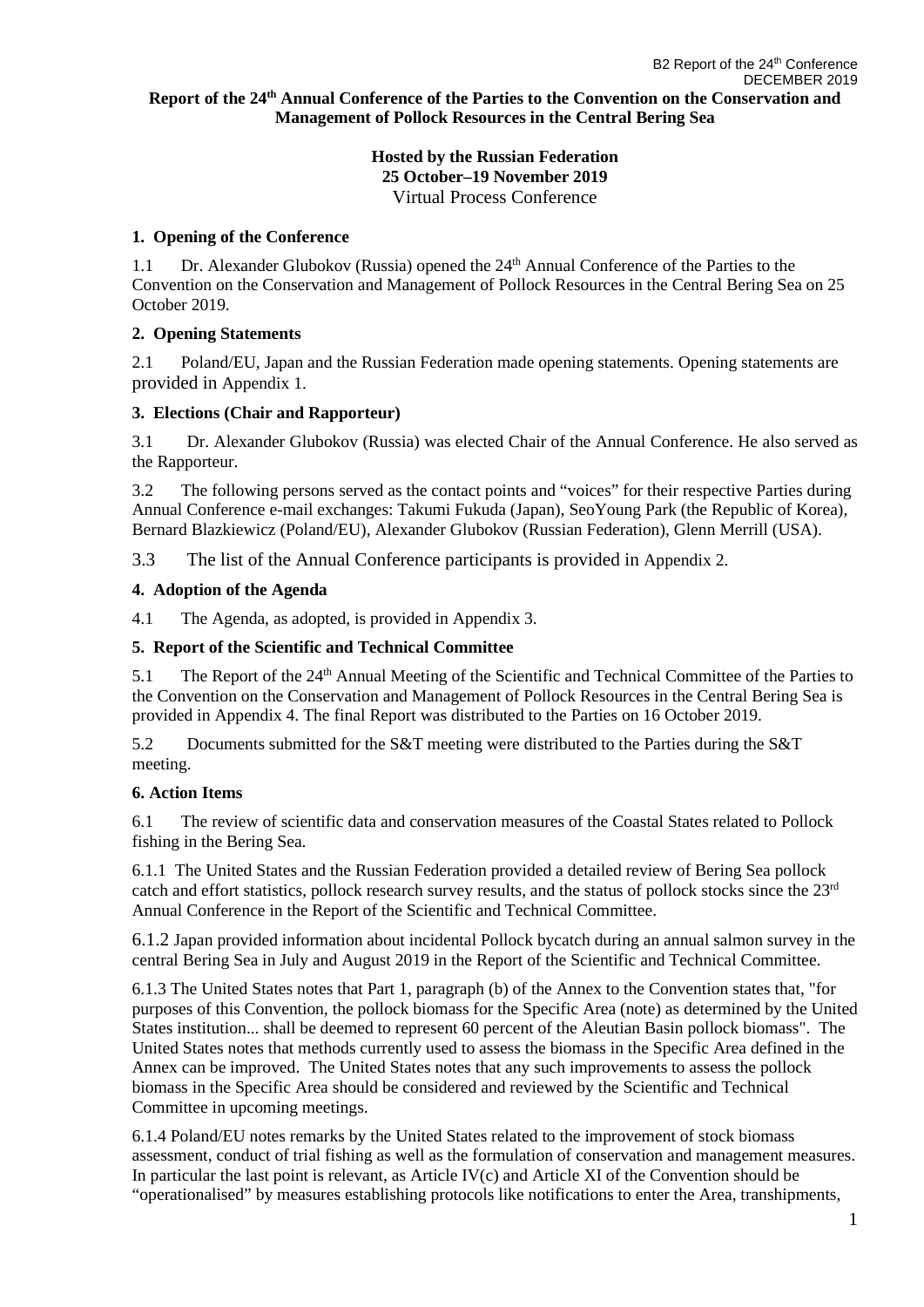#### **Report of the 24th Annual Conference of the Parties to the Convention on the Conservation and Management of Pollock Resources in the Central Bering Sea**

#### **Hosted by the Russian Federation 25 October–19 November 2019** Virtual Process Conference

#### **1. Opening of the Conference**

1.1 Dr. Alexander Glubokov (Russia) opened the 24<sup>th</sup> Annual Conference of the Parties to the Convention on the Conservation and Management of Pollock Resources in the Central Bering Sea on 25 October 2019.

### **2. Opening Statements**

2.1 Poland/EU, Japan and the Russian Federation made opening statements. Opening statements are provided in Appendix 1.

### **3. Elections (Chair and Rapporteur)**

3.1 Dr. Alexander Glubokov (Russia) was elected Chair of the Annual Conference. He also served as the Rapporteur.

3.2 The following persons served as the contact points and "voices" for their respective Parties during Annual Conference e-mail exchanges: Takumi Fukuda (Japan), SeoYoung Park (the Republic of Korea), Bernard Blazkiewicz (Poland/EU), Alexander Glubokov (Russian Federation), Glenn Merrill (USA).

3.3 The list of the Annual Conference participants is provided in Appendix 2.

#### **4. Adoption of the Agenda**

4.1 The Agenda, as adopted, is provided in Appendix 3.

### **5. Report of the Scientific and Technical Committee**

5.1 The Report of the 24th Annual Meeting of the Scientific and Technical Committee of the Parties to the Convention on the Conservation and Management of Pollock Resources in the Central Bering Sea is provided in Appendix 4. The final Report was distributed to the Parties on 16 October 2019.

5.2 Documents submitted for the S&T meeting were distributed to the Parties during the S&T meeting.

### **6. Action Items**

6.1 The review of scientific data and conservation measures of the Coastal States related to Pollock fishing in the Bering Sea.

6.1.1 The United States and the Russian Federation provided a detailed review of Bering Sea pollock catch and effort statistics, pollock research survey results, and the status of pollock stocks since the 23rd Annual Conference in the Report of the Scientific and Technical Committee.

6.1.2 Japan provided information about incidental Pollock bycatch during an annual salmon survey in the central Bering Sea in July and August 2019 in the Report of the Scientific and Technical Committee.

6.1.3 The United States notes that Part 1, paragraph (b) of the Annex to the Convention states that, "for purposes of this Convention, the pollock biomass for the Specific Area (note) as determined by the United States institution... shall be deemed to represent 60 percent of the Aleutian Basin pollock biomass". The United States notes that methods currently used to assess the biomass in the Specific Area defined in the Annex can be improved. The United States notes that any such improvements to assess the pollock biomass in the Specific Area should be considered and reviewed by the Scientific and Technical Committee in upcoming meetings.

6.1.4 Poland/EU notes remarks by the United States related to the improvement of stock biomass assessment, conduct of trial fishing as well as the formulation of conservation and management measures. In particular the last point is relevant, as Article IV(c) and Article XI of the Convention should be "operationalised" by measures establishing protocols like notifications to enter the Area, transhipments,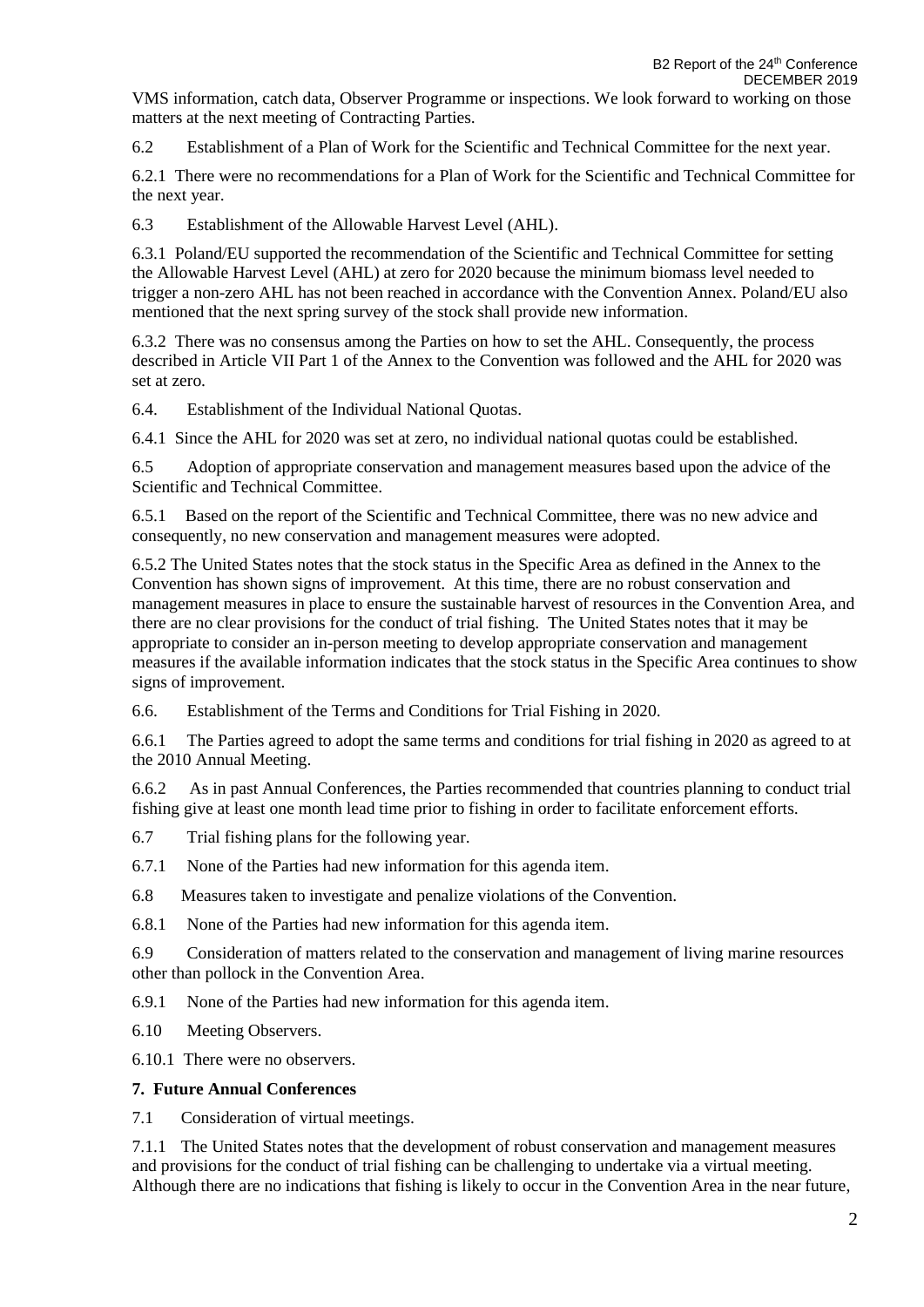VMS information, catch data, Observer Programme or inspections. We look forward to working on those matters at the next meeting of Contracting Parties.

6.2 Establishment of a Plan of Work for the Scientific and Technical Committee for the next year.

6.2.1 There were no recommendations for a Plan of Work for the Scientific and Technical Committee for the next year.

6.3 Establishment of the Allowable Harvest Level (AHL).

6.3.1 Poland/EU supported the recommendation of the Scientific and Technical Committee for setting the Allowable Harvest Level (AHL) at zero for 2020 because the minimum biomass level needed to trigger a non-zero AHL has not been reached in accordance with the Convention Annex. Poland/EU also mentioned that the next spring survey of the stock shall provide new information.

6.3.2 There was no consensus among the Parties on how to set the AHL. Consequently, the process described in Article VII Part 1 of the Annex to the Convention was followed and the AHL for 2020 was set at zero.

6.4. Establishment of the Individual National Quotas.

6.4.1 Since the AHL for 2020 was set at zero, no individual national quotas could be established.

6.5 Adoption of appropriate conservation and management measures based upon the advice of the Scientific and Technical Committee.

6.5.1 Based on the report of the Scientific and Technical Committee, there was no new advice and consequently, no new conservation and management measures were adopted.

6.5.2 The United States notes that the stock status in the Specific Area as defined in the Annex to the Convention has shown signs of improvement. At this time, there are no robust conservation and management measures in place to ensure the sustainable harvest of resources in the Convention Area, and there are no clear provisions for the conduct of trial fishing. The United States notes that it may be appropriate to consider an in-person meeting to develop appropriate conservation and management measures if the available information indicates that the stock status in the Specific Area continues to show signs of improvement.

6.6. Establishment of the Terms and Conditions for Trial Fishing in 2020.

6.6.1 The Parties agreed to adopt the same terms and conditions for trial fishing in 2020 as agreed to at the 2010 Annual Meeting.

6.6.2 As in past Annual Conferences, the Parties recommended that countries planning to conduct trial fishing give at least one month lead time prior to fishing in order to facilitate enforcement efforts.

6.7 Trial fishing plans for the following year.

6.7.1 None of the Parties had new information for this agenda item.

6.8 Measures taken to investigate and penalize violations of the Convention.

6.8.1 None of the Parties had new information for this agenda item.

6.9 Consideration of matters related to the conservation and management of living marine resources other than pollock in the Convention Area.

6.9.1 None of the Parties had new information for this agenda item.

6.10 Meeting Observers.

6.10.1 There were no observers.

#### **7. Future Annual Conferences**

7.1 Consideration of virtual meetings.

7.1.1 The United States notes that the development of robust conservation and management measures and provisions for the conduct of trial fishing can be challenging to undertake via a virtual meeting. Although there are no indications that fishing is likely to occur in the Convention Area in the near future,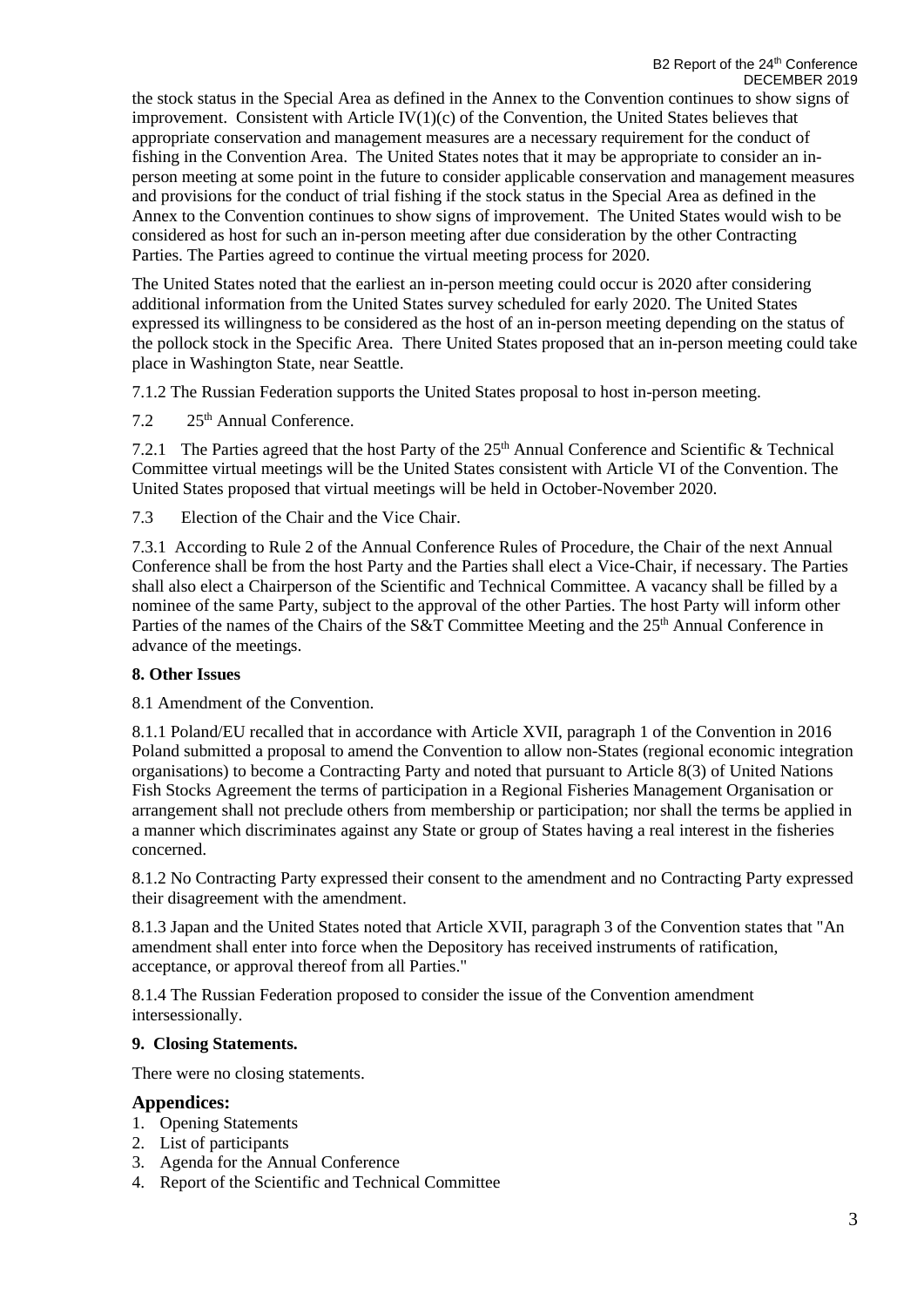the stock status in the Special Area as defined in the Annex to the Convention continues to show signs of improvement. Consistent with Article  $IV(1)(c)$  of the Convention, the United States believes that appropriate conservation and management measures are a necessary requirement for the conduct of fishing in the Convention Area. The United States notes that it may be appropriate to consider an inperson meeting at some point in the future to consider applicable conservation and management measures and provisions for the conduct of trial fishing if the stock status in the Special Area as defined in the Annex to the Convention continues to show signs of improvement. The United States would wish to be considered as host for such an in-person meeting after due consideration by the other Contracting Parties. The Parties agreed to continue the virtual meeting process for 2020.

The United States noted that the earliest an in-person meeting could occur is 2020 after considering additional information from the United States survey scheduled for early 2020. The United States expressed its willingness to be considered as the host of an in-person meeting depending on the status of the pollock stock in the Specific Area. There United States proposed that an in-person meeting could take place in Washington State, near Seattle.

7.1.2 The Russian Federation supports the United States proposal to host in-person meeting.

7.2 25<sup>th</sup> Annual Conference.

7.2.1 The Parties agreed that the host Party of the 25<sup>th</sup> Annual Conference and Scientific & Technical Committee virtual meetings will be the United States consistent with Article VI of the Convention. The United States proposed that virtual meetings will be held in October-November 2020.

7.3 Election of the Chair and the Vice Chair.

7.3.1 According to Rule 2 of the Annual Conference Rules of Procedure, the Chair of the next Annual Conference shall be from the host Party and the Parties shall elect a Vice-Chair, if necessary. The Parties shall also elect a Chairperson of the Scientific and Technical Committee. A vacancy shall be filled by a nominee of the same Party, subject to the approval of the other Parties. The host Party will inform other Parties of the names of the Chairs of the S&T Committee Meeting and the 25<sup>th</sup> Annual Conference in advance of the meetings.

#### **8. Other Issues**

8.1 Amendment of the Convention.

8.1.1 Poland/EU recalled that in accordance with Article XVII, paragraph 1 of the Convention in 2016 Poland submitted a proposal to amend the Convention to allow non-States (regional economic integration organisations) to become a Contracting Party and noted that pursuant to Article 8(3) of United Nations Fish Stocks Agreement the terms of participation in a Regional Fisheries Management Organisation or arrangement shall not preclude others from membership or participation; nor shall the terms be applied in a manner which discriminates against any State or group of States having a real interest in the fisheries concerned.

8.1.2 No Contracting Party expressed their consent to the amendment and no Contracting Party expressed their disagreement with the amendment.

8.1.3 Japan and the United States noted that Article XVII, paragraph 3 of the Convention states that "An amendment shall enter into force when the Depository has received instruments of ratification, acceptance, or approval thereof from all Parties."

8.1.4 The Russian Federation proposed to consider the issue of the Convention amendment intersessionally.

#### **9. Closing Statements.**

There were no closing statements.

### **Appendices:**

- 1. Opening Statements
- 2. List of participants
- 3. Agenda for the Annual Conference
- 4. Report of the Scientific and Technical Committee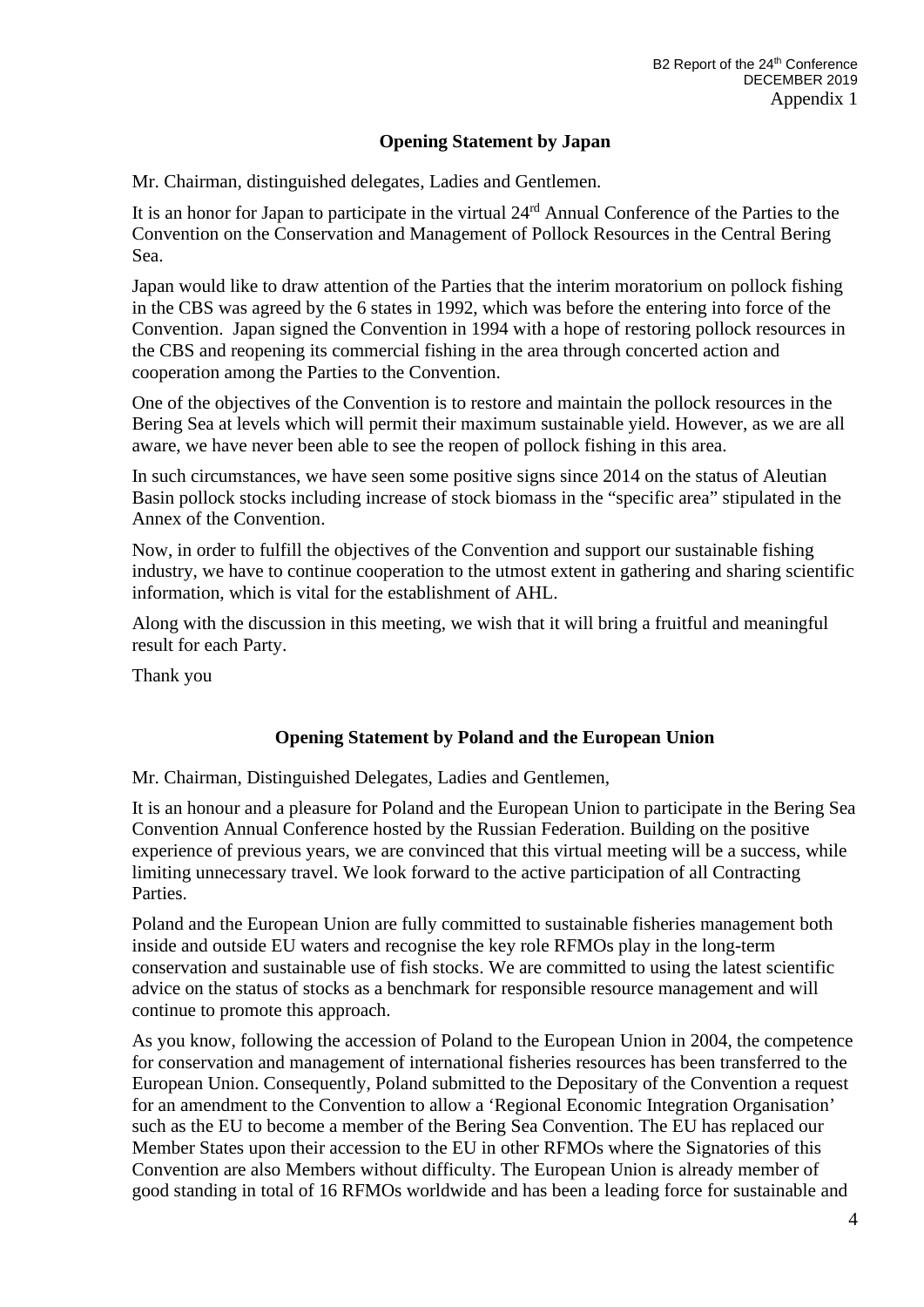### **Opening Statement by Japan**

Mr. Chairman, distinguished delegates, Ladies and Gentlemen.

It is an honor for Japan to participate in the virtual 24rd Annual Conference of the Parties to the Convention on the Conservation and Management of Pollock Resources in the Central Bering Sea.

Japan would like to draw attention of the Parties that the interim moratorium on pollock fishing in the CBS was agreed by the 6 states in 1992, which was before the entering into force of the Convention. Japan signed the Convention in 1994 with a hope of restoring pollock resources in the CBS and reopening its commercial fishing in the area through concerted action and cooperation among the Parties to the Convention.

One of the objectives of the Convention is to restore and maintain the pollock resources in the Bering Sea at levels which will permit their maximum sustainable yield. However, as we are all aware, we have never been able to see the reopen of pollock fishing in this area.

In such circumstances, we have seen some positive signs since 2014 on the status of Aleutian Basin pollock stocks including increase of stock biomass in the "specific area" stipulated in the Annex of the Convention.

Now, in order to fulfill the objectives of the Convention and support our sustainable fishing industry, we have to continue cooperation to the utmost extent in gathering and sharing scientific information, which is vital for the establishment of AHL.

Along with the discussion in this meeting, we wish that it will bring a fruitful and meaningful result for each Party.

Thank you

### **Opening Statement by Poland and the European Union**

Mr. Chairman, Distinguished Delegates, Ladies and Gentlemen,

It is an honour and a pleasure for Poland and the European Union to participate in the Bering Sea Convention Annual Conference hosted by the Russian Federation. Building on the positive experience of previous years, we are convinced that this virtual meeting will be a success, while limiting unnecessary travel. We look forward to the active participation of all Contracting Parties.

Poland and the European Union are fully committed to sustainable fisheries management both inside and outside EU waters and recognise the key role RFMOs play in the long-term conservation and sustainable use of fish stocks. We are committed to using the latest scientific advice on the status of stocks as a benchmark for responsible resource management and will continue to promote this approach.

As you know, following the accession of Poland to the European Union in 2004, the competence for conservation and management of international fisheries resources has been transferred to the European Union. Consequently, Poland submitted to the Depositary of the Convention a request for an amendment to the Convention to allow a 'Regional Economic Integration Organisation' such as the EU to become a member of the Bering Sea Convention. The EU has replaced our Member States upon their accession to the EU in other RFMOs where the Signatories of this Convention are also Members without difficulty. The European Union is already member of good standing in total of 16 RFMOs worldwide and has been a leading force for sustainable and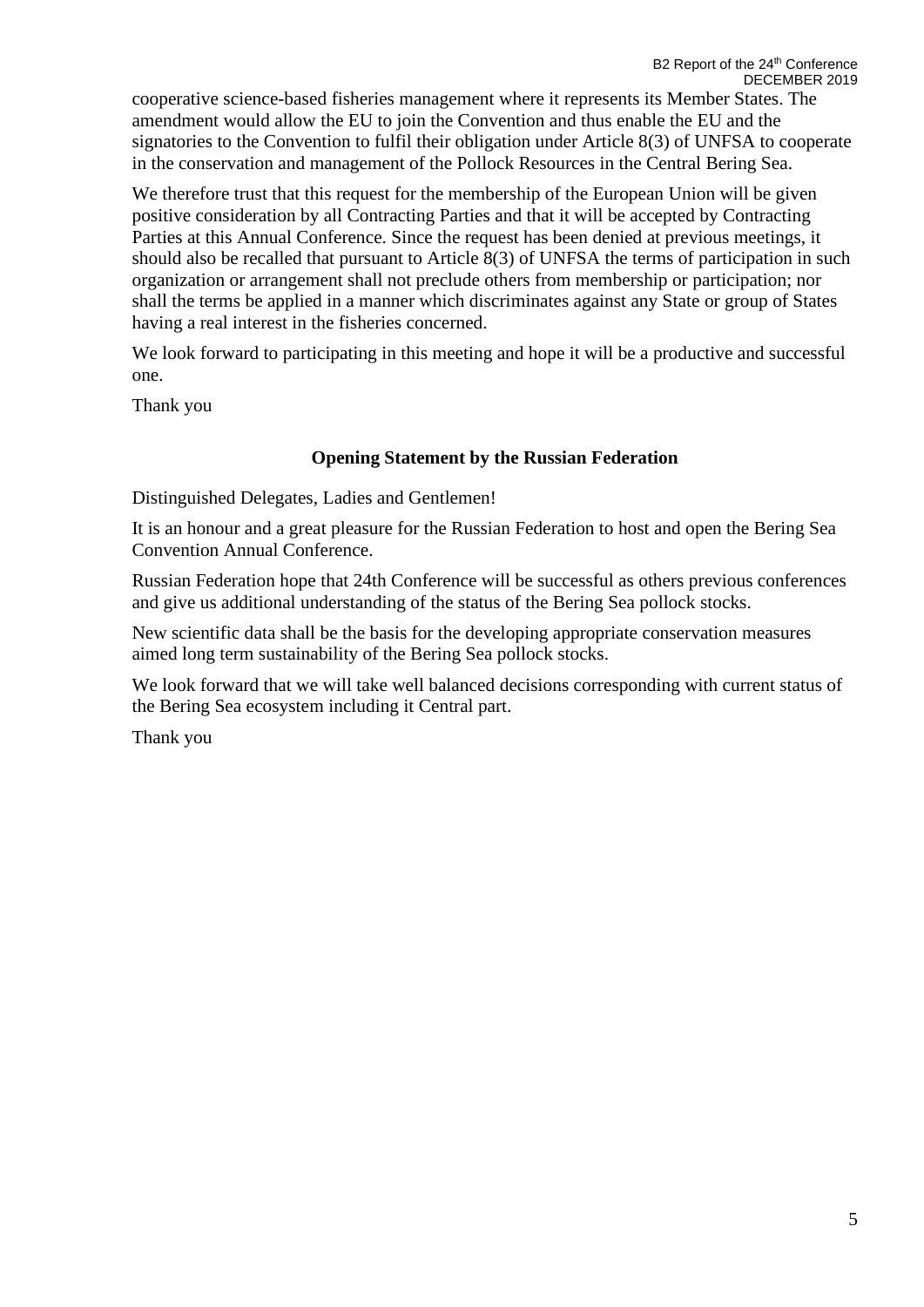cooperative science-based fisheries management where it represents its Member States. The amendment would allow the EU to join the Convention and thus enable the EU and the signatories to the Convention to fulfil their obligation under Article 8(3) of UNFSA to cooperate in the conservation and management of the Pollock Resources in the Central Bering Sea.

We therefore trust that this request for the membership of the European Union will be given positive consideration by all Contracting Parties and that it will be accepted by Contracting Parties at this Annual Conference. Since the request has been denied at previous meetings, it should also be recalled that pursuant to Article 8(3) of UNFSA the terms of participation in such organization or arrangement shall not preclude others from membership or participation; nor shall the terms be applied in a manner which discriminates against any State or group of States having a real interest in the fisheries concerned.

We look forward to participating in this meeting and hope it will be a productive and successful one.

Thank you

### **Opening Statement by the Russian Federation**

Distinguished Delegates, Ladies and Gentlemen!

It is an honour and a great pleasure for the Russian Federation to host and open the Bering Sea Convention Annual Conference.

Russian Federation hope that 24th Conference will be successful as others previous conferences and give us additional understanding of the status of the Bering Sea pollock stocks.

New scientific data shall be the basis for the developing appropriate conservation measures aimed long term sustainability of the Bering Sea pollock stocks.

We look forward that we will take well balanced decisions corresponding with current status of the Bering Sea ecosystem including it Central part.

Thank you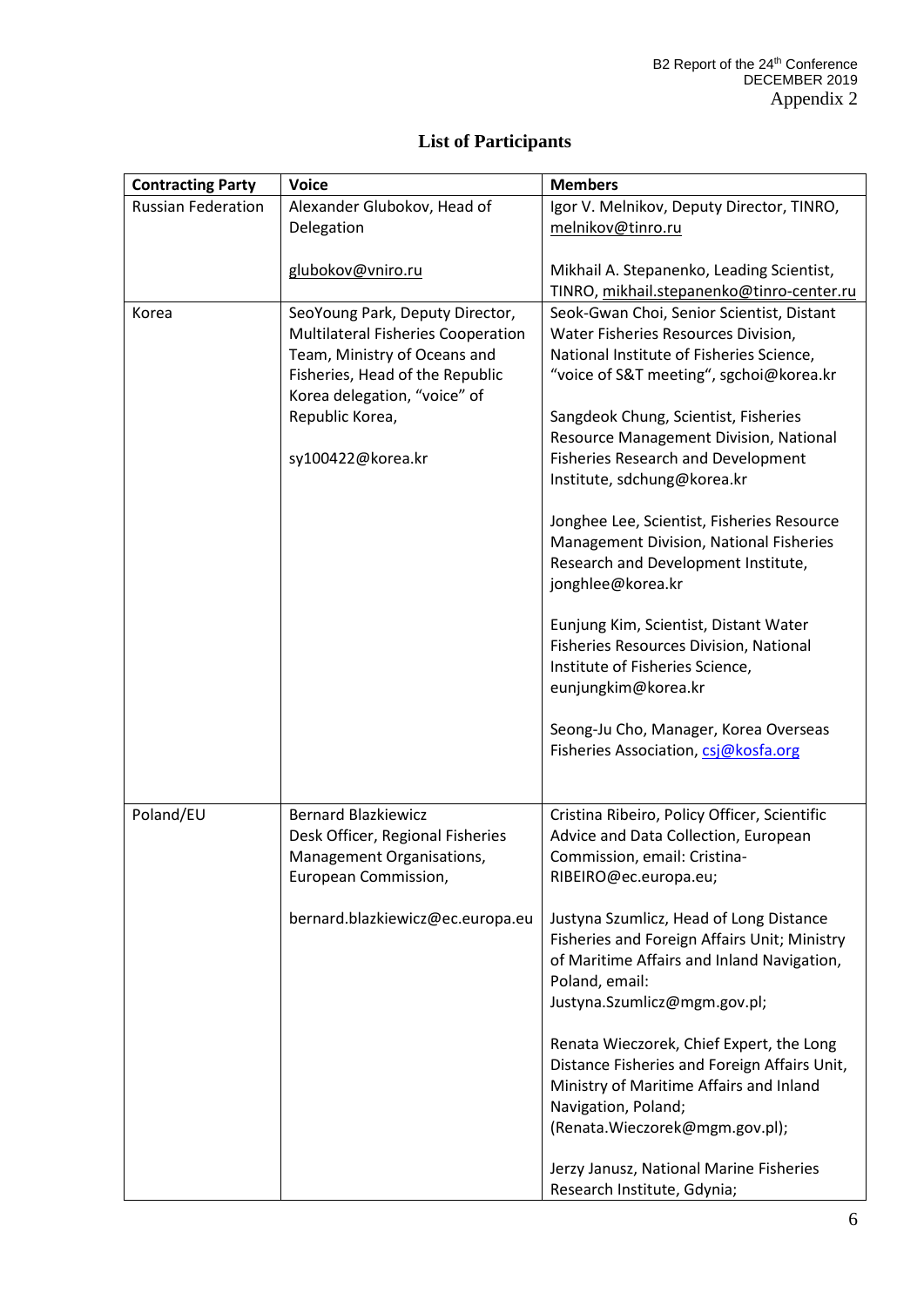| <b>Contracting Party</b>  | <b>Voice</b>                                      | <b>Members</b>                                                                                                                                                         |  |  |
|---------------------------|---------------------------------------------------|------------------------------------------------------------------------------------------------------------------------------------------------------------------------|--|--|
| <b>Russian Federation</b> | Alexander Glubokov, Head of                       | Igor V. Melnikov, Deputy Director, TINRO,                                                                                                                              |  |  |
|                           | Delegation                                        | melnikov@tinro.ru                                                                                                                                                      |  |  |
|                           |                                                   |                                                                                                                                                                        |  |  |
|                           | glubokov@vniro.ru                                 | Mikhail A. Stepanenko, Leading Scientist,                                                                                                                              |  |  |
|                           |                                                   | TINRO, mikhail.stepanenko@tinro-center.ru                                                                                                                              |  |  |
| Korea                     | SeoYoung Park, Deputy Director,                   | Seok-Gwan Choi, Senior Scientist, Distant                                                                                                                              |  |  |
|                           | <b>Multilateral Fisheries Cooperation</b>         | Water Fisheries Resources Division,                                                                                                                                    |  |  |
|                           | Team, Ministry of Oceans and                      | National Institute of Fisheries Science,                                                                                                                               |  |  |
|                           | Fisheries, Head of the Republic                   | "voice of S&T meeting", sgchoi@korea.kr                                                                                                                                |  |  |
|                           | Korea delegation, "voice" of                      |                                                                                                                                                                        |  |  |
|                           | Republic Korea,                                   | Sangdeok Chung, Scientist, Fisheries                                                                                                                                   |  |  |
|                           |                                                   | Resource Management Division, National                                                                                                                                 |  |  |
|                           | sy100422@korea.kr                                 | <b>Fisheries Research and Development</b><br>Institute, sdchung@korea.kr                                                                                               |  |  |
|                           |                                                   |                                                                                                                                                                        |  |  |
|                           |                                                   | Jonghee Lee, Scientist, Fisheries Resource                                                                                                                             |  |  |
|                           |                                                   | Management Division, National Fisheries                                                                                                                                |  |  |
|                           |                                                   | Research and Development Institute,                                                                                                                                    |  |  |
|                           |                                                   | jonghlee@korea.kr                                                                                                                                                      |  |  |
|                           |                                                   |                                                                                                                                                                        |  |  |
|                           |                                                   | Eunjung Kim, Scientist, Distant Water                                                                                                                                  |  |  |
|                           |                                                   | Fisheries Resources Division, National                                                                                                                                 |  |  |
|                           |                                                   | Institute of Fisheries Science,                                                                                                                                        |  |  |
|                           |                                                   | eunjungkim@korea.kr                                                                                                                                                    |  |  |
|                           |                                                   |                                                                                                                                                                        |  |  |
|                           |                                                   | Seong-Ju Cho, Manager, Korea Overseas                                                                                                                                  |  |  |
|                           |                                                   | Fisheries Association, csj@kosfa.org                                                                                                                                   |  |  |
|                           |                                                   |                                                                                                                                                                        |  |  |
|                           |                                                   |                                                                                                                                                                        |  |  |
| Poland/EU                 | <b>Bernard Blazkiewicz</b>                        | Cristina Ribeiro, Policy Officer, Scientific                                                                                                                           |  |  |
|                           | Desk Officer, Regional Fisheries                  | Advice and Data Collection, European<br>Commission, email: Cristina-                                                                                                   |  |  |
|                           | Management Organisations,<br>European Commission, |                                                                                                                                                                        |  |  |
|                           |                                                   | RIBEIRO@ec.europa.eu;                                                                                                                                                  |  |  |
|                           | bernard.blazkiewicz@ec.europa.eu                  | Justyna Szumlicz, Head of Long Distance                                                                                                                                |  |  |
|                           |                                                   | Fisheries and Foreign Affairs Unit; Ministry                                                                                                                           |  |  |
|                           |                                                   |                                                                                                                                                                        |  |  |
|                           |                                                   |                                                                                                                                                                        |  |  |
|                           |                                                   |                                                                                                                                                                        |  |  |
|                           |                                                   |                                                                                                                                                                        |  |  |
|                           |                                                   | Renata Wieczorek, Chief Expert, the Long                                                                                                                               |  |  |
|                           |                                                   | Distance Fisheries and Foreign Affairs Unit,                                                                                                                           |  |  |
|                           |                                                   | Ministry of Maritime Affairs and Inland                                                                                                                                |  |  |
|                           |                                                   | Navigation, Poland;                                                                                                                                                    |  |  |
|                           |                                                   | (Renata.Wieczorek@mgm.gov.pl);                                                                                                                                         |  |  |
|                           |                                                   |                                                                                                                                                                        |  |  |
|                           |                                                   |                                                                                                                                                                        |  |  |
|                           |                                                   | of Maritime Affairs and Inland Navigation,<br>Poland, email:<br>Justyna.Szumlicz@mgm.gov.pl;<br>Jerzy Janusz, National Marine Fisheries<br>Research Institute, Gdynia; |  |  |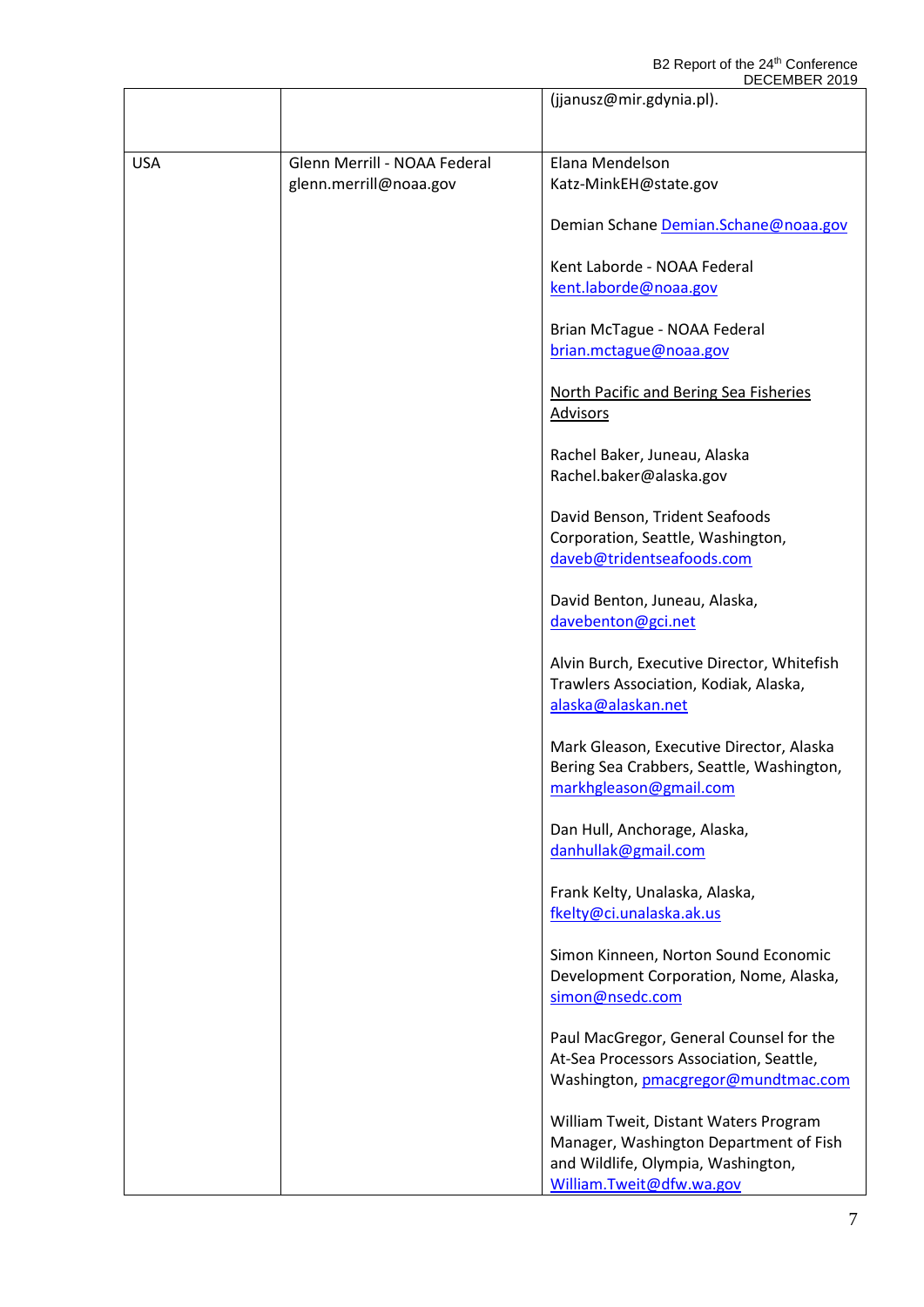|            |                              | <b>DLULIVIDLIN ZUTJ</b><br>(jjanusz@mir.gdynia.pl).                                                             |
|------------|------------------------------|-----------------------------------------------------------------------------------------------------------------|
|            |                              |                                                                                                                 |
| <b>USA</b> | Glenn Merrill - NOAA Federal | Elana Mendelson                                                                                                 |
|            | glenn.merrill@noaa.gov       | Katz-MinkEH@state.gov                                                                                           |
|            |                              | Demian Schane Demian.Schane@noaa.gov                                                                            |
|            |                              | Kent Laborde - NOAA Federal                                                                                     |
|            |                              | kent.laborde@noaa.gov                                                                                           |
|            |                              | Brian McTague - NOAA Federal                                                                                    |
|            |                              | brian.mctague@noaa.gov                                                                                          |
|            |                              | <b>North Pacific and Bering Sea Fisheries</b><br><b>Advisors</b>                                                |
|            |                              | Rachel Baker, Juneau, Alaska                                                                                    |
|            |                              | Rachel.baker@alaska.gov                                                                                         |
|            |                              | David Benson, Trident Seafoods                                                                                  |
|            |                              | Corporation, Seattle, Washington,                                                                               |
|            |                              | daveb@tridentseafoods.com                                                                                       |
|            |                              | David Benton, Juneau, Alaska,<br>davebenton@gci.net                                                             |
|            |                              | Alvin Burch, Executive Director, Whitefish<br>Trawlers Association, Kodiak, Alaska,<br>alaska@alaskan.net       |
|            |                              | Mark Gleason, Executive Director, Alaska<br>Bering Sea Crabbers, Seattle, Washington,<br>markhgleason@gmail.com |
|            |                              | Dan Hull, Anchorage, Alaska,<br>danhullak@gmail.com                                                             |
|            |                              | Frank Kelty, Unalaska, Alaska,<br>fkelty@ci.unalaska.ak.us                                                      |
|            |                              | Simon Kinneen, Norton Sound Economic<br>Development Corporation, Nome, Alaska,<br>simon@nsedc.com               |
|            |                              | Paul MacGregor, General Counsel for the<br>At-Sea Processors Association, Seattle,                              |
|            |                              | Washington, pmacgregor@mundtmac.com                                                                             |
|            |                              | William Tweit, Distant Waters Program<br>Manager, Washington Department of Fish                                 |
|            |                              | and Wildlife, Olympia, Washington,<br>William.Tweit@dfw.wa.gov                                                  |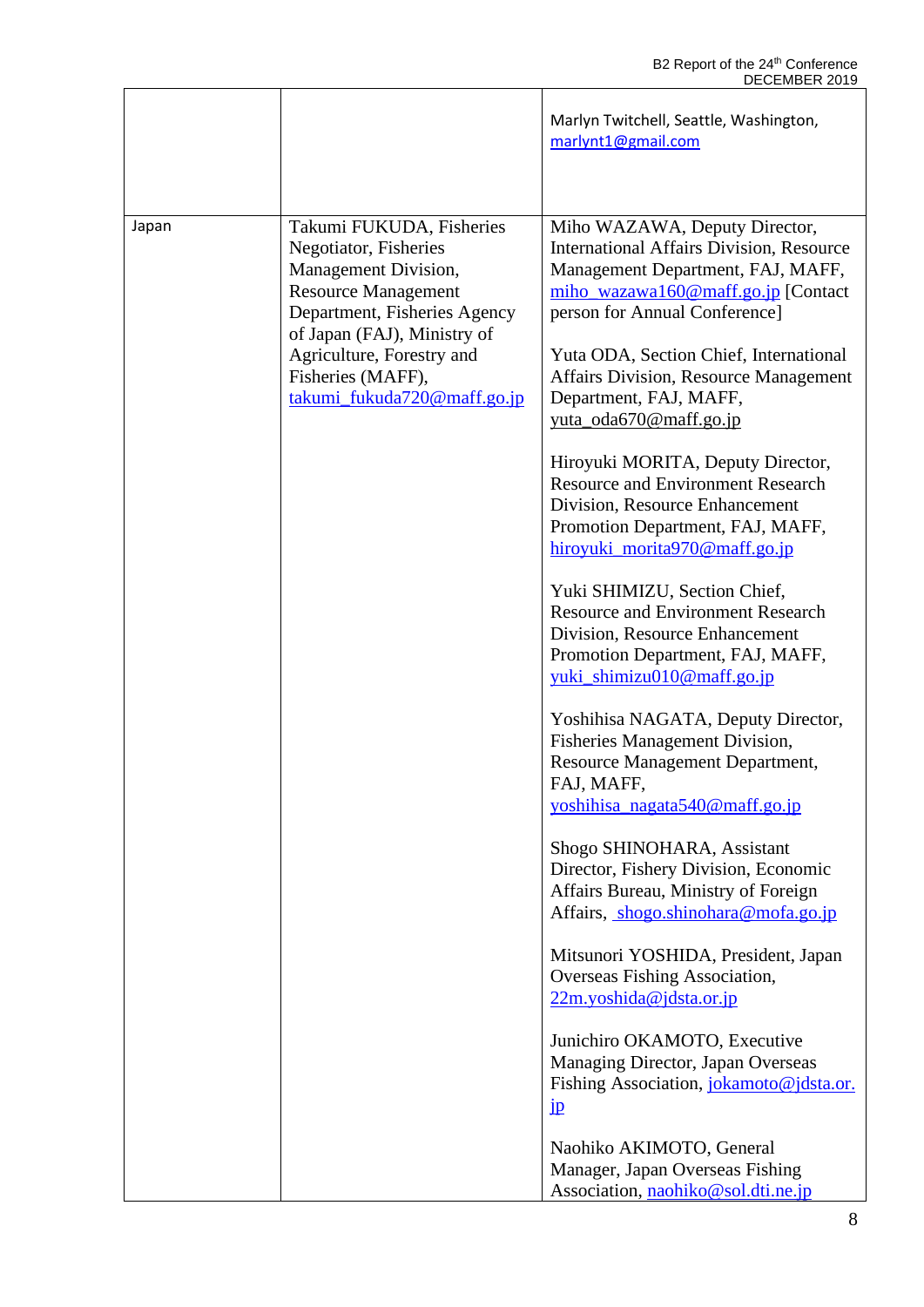|       |                                                                                                                                                                                                                                                         | Marlyn Twitchell, Seattle, Washington,<br>marlynt1@gmail.com                                                                                                                                                                                                                                                                                                                                                                                                                                                                                                                                                                                                                                                                                                                                                                                                                                                                                                                                                                                                                                                                                                                                                                                                                                                                                                                 |
|-------|---------------------------------------------------------------------------------------------------------------------------------------------------------------------------------------------------------------------------------------------------------|------------------------------------------------------------------------------------------------------------------------------------------------------------------------------------------------------------------------------------------------------------------------------------------------------------------------------------------------------------------------------------------------------------------------------------------------------------------------------------------------------------------------------------------------------------------------------------------------------------------------------------------------------------------------------------------------------------------------------------------------------------------------------------------------------------------------------------------------------------------------------------------------------------------------------------------------------------------------------------------------------------------------------------------------------------------------------------------------------------------------------------------------------------------------------------------------------------------------------------------------------------------------------------------------------------------------------------------------------------------------------|
| Japan | Takumi FUKUDA, Fisheries<br>Negotiator, Fisheries<br>Management Division,<br><b>Resource Management</b><br>Department, Fisheries Agency<br>of Japan (FAJ), Ministry of<br>Agriculture, Forestry and<br>Fisheries (MAFF),<br>takumi_fukuda720@maff.go.jp | Miho WAZAWA, Deputy Director,<br><b>International Affairs Division, Resource</b><br>Management Department, FAJ, MAFF,<br>miho_wazawa160@maff.go.jp [Contact<br>person for Annual Conference]<br>Yuta ODA, Section Chief, International<br><b>Affairs Division, Resource Management</b><br>Department, FAJ, MAFF,<br>yuta_oda670@maff.go.jp<br>Hiroyuki MORITA, Deputy Director,<br><b>Resource and Environment Research</b><br>Division, Resource Enhancement<br>Promotion Department, FAJ, MAFF,<br>hiroyuki_morita970@maff.go.jp<br>Yuki SHIMIZU, Section Chief,<br><b>Resource and Environment Research</b><br>Division, Resource Enhancement<br>Promotion Department, FAJ, MAFF,<br>yuki_shimizu010@maff.go.jp<br>Yoshihisa NAGATA, Deputy Director,<br>Fisheries Management Division,<br>Resource Management Department,<br>FAJ, MAFF.<br>yoshihisa nagata540@maff.go.jp<br>Shogo SHINOHARA, Assistant<br>Director, Fishery Division, Economic<br>Affairs Bureau, Ministry of Foreign<br>Affairs, shogo.shinohara@mofa.go.jp<br>Mitsunori YOSHIDA, President, Japan<br>Overseas Fishing Association,<br>$22m.yoshida@jdsta.$ or.jp<br>Junichiro OKAMOTO, Executive<br>Managing Director, Japan Overseas<br>Fishing Association, jokamoto@jdsta.or.<br>$\mathbf{p}$<br>Naohiko AKIMOTO, General<br>Manager, Japan Overseas Fishing<br>Association, naohiko@sol.dti.ne.jp |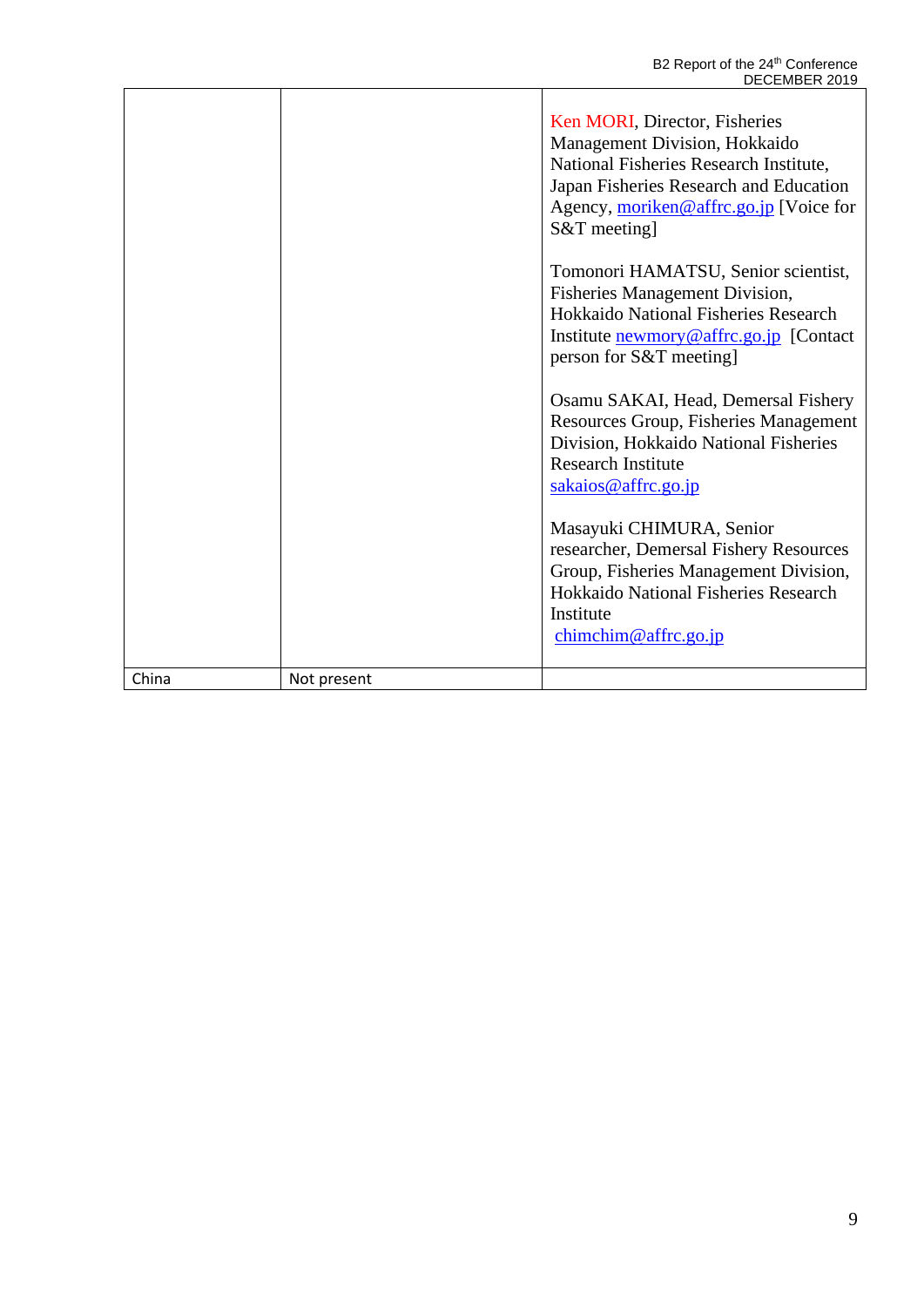|       |             | Ken MORI, Director, Fisheries<br>Management Division, Hokkaido<br>National Fisheries Research Institute,<br>Japan Fisheries Research and Education<br>Agency, moriken@affrc.go.jp [Voice for<br>$S&T$ meeting] |
|-------|-------------|----------------------------------------------------------------------------------------------------------------------------------------------------------------------------------------------------------------|
|       |             | Tomonori HAMATSU, Senior scientist,<br><b>Fisheries Management Division,</b><br>Hokkaido National Fisheries Research<br>Institute newmory@affrc.go.jp [Contact]<br>person for S&T meeting]                     |
|       |             | Osamu SAKAI, Head, Demersal Fishery<br>Resources Group, Fisheries Management<br>Division, Hokkaido National Fisheries<br><b>Research Institute</b><br>sakaios@affrc.go.jp                                      |
|       |             | Masayuki CHIMURA, Senior<br>researcher, Demersal Fishery Resources<br>Group, Fisheries Management Division,<br>Hokkaido National Fisheries Research<br>Institute<br>chimchim@affrc.go.jp                       |
| China | Not present |                                                                                                                                                                                                                |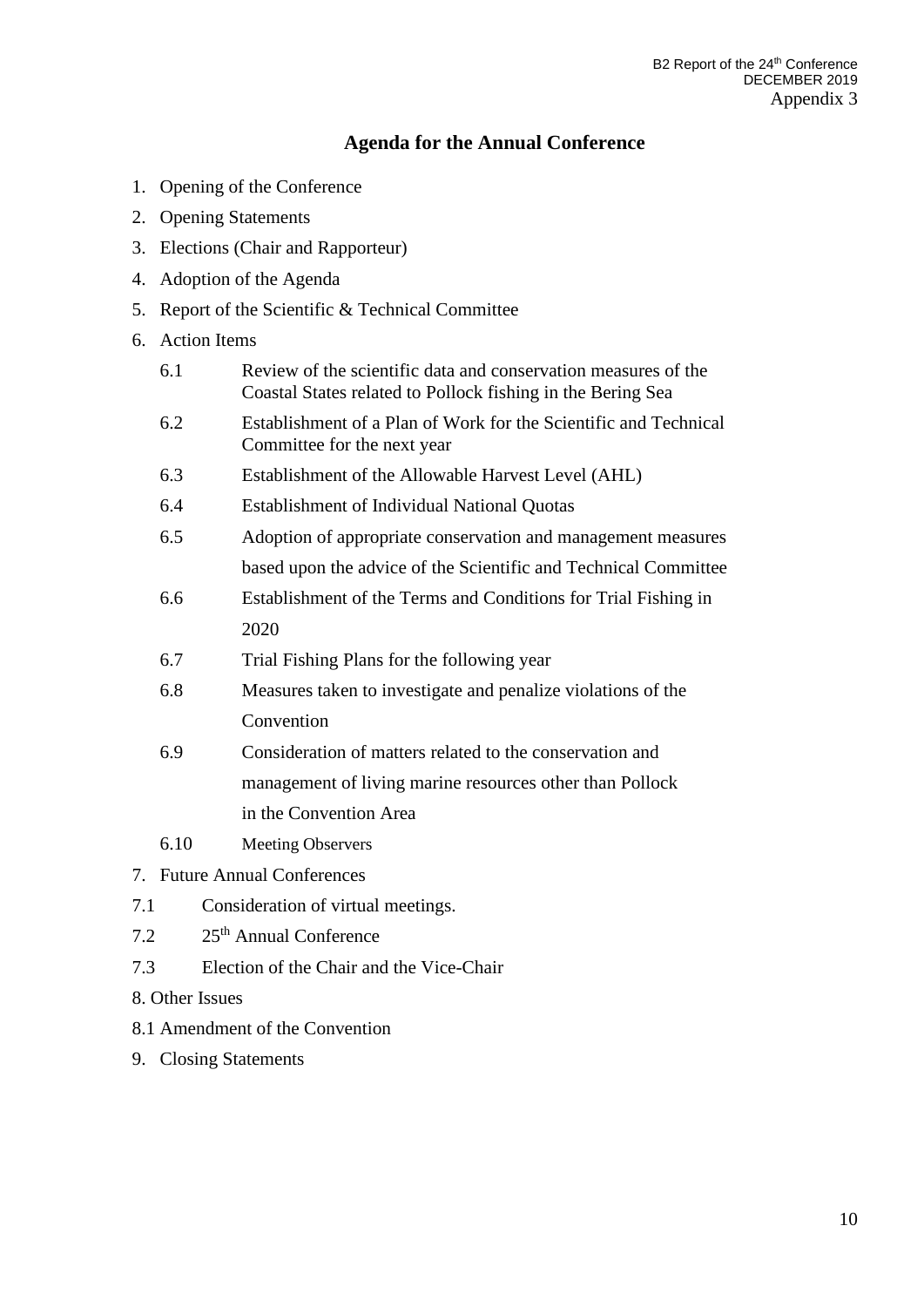### **Agenda for the Annual Conference**

- 1. Opening of the Conference
- 2. Opening Statements
- 3. Elections (Chair and Rapporteur)
- 4. Adoption of the Agenda
- 5. Report of the Scientific & Technical Committee
- 6. Action Items
	- 6.1 Review of the scientific data and conservation measures of the Coastal States related to Pollock fishing in the Bering Sea
	- 6.2 Establishment of a Plan of Work for the Scientific and Technical Committee for the next year
	- 6.3 Establishment of the Allowable Harvest Level (AHL)
	- 6.4 Establishment of Individual National Quotas
	- 6.5 Adoption of appropriate conservation and management measures based upon the advice of the Scientific and Technical Committee
	- 6.6 Establishment of the Terms and Conditions for Trial Fishing in 2020
	- 6.7 Trial Fishing Plans for the following year
	- 6.8 Measures taken to investigate and penalize violations of the Convention
	- 6.9 Consideration of matters related to the conservation and management of living marine resources other than Pollock in the Convention Area
	- 6.10 Meeting Observers
- 7. Future Annual Conferences
- 7.1 Consideration of virtual meetings.
- 7.2 25th Annual Conference
- 7.3 Election of the Chair and the Vice-Chair
- 8. Other Issues
- 8.1 Amendment of the Convention
- 9. Closing Statements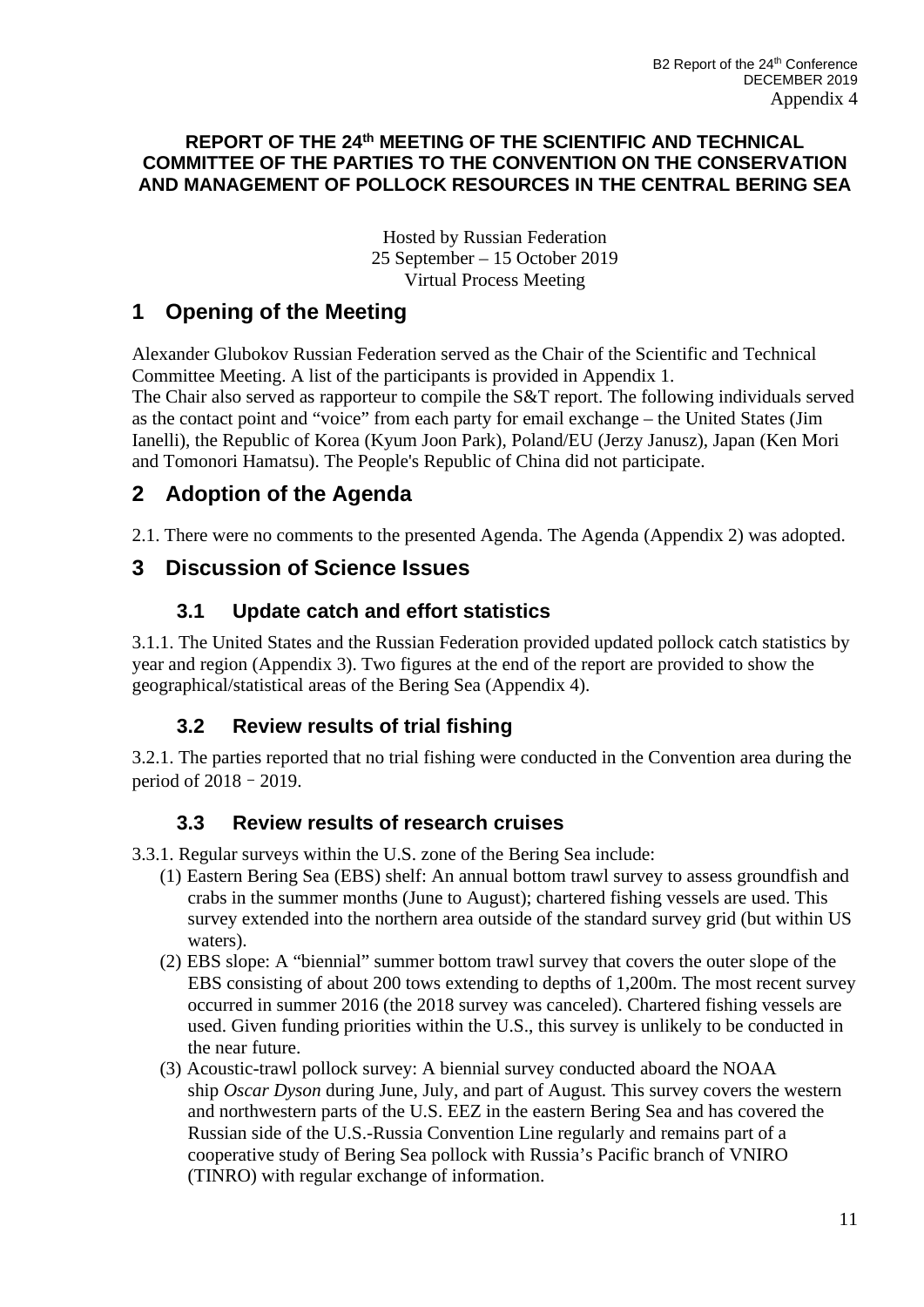### **REPORT OF THE 24th MEETING OF THE SCIENTIFIC AND TECHNICAL COMMITTEE OF THE PARTIES TO THE CONVENTION ON THE CONSERVATION AND MANAGEMENT OF POLLOCK RESOURCES IN THE CENTRAL BERING SEA**

Hosted by Russian Federation 25 September – 15 October 2019 Virtual Process Meeting

# **1 Opening of the Meeting**

Alexander Glubokov Russian Federation served as the Chair of the Scientific and Technical Committee Meeting. A list of the participants is provided in Appendix 1. The Chair also served as rapporteur to compile the S&T report. The following individuals served as the contact point and "voice" from each party for email exchange – the United States (Jim Ianelli), the Republic of Korea (Kyum Joon Park), Poland/EU (Jerzy Janusz), Japan (Ken Mori and Tomonori Hamatsu). The People's Republic of China did not participate.

# **2 Adoption of the Agenda**

2.1. There were no comments to the presented Agenda. The Agenda (Appendix 2) was adopted.

## **3 Discussion of Science Issues**

## **3.1 Update catch and effort statistics**

3.1.1. The United States and the Russian Federation provided updated pollock catch statistics by year and region (Appendix 3). Two figures at the end of the report are provided to show the geographical/statistical areas of the Bering Sea (Appendix 4).

# **3.2 Review results of trial fishing**

3.2.1. The parties reported that no trial fishing were conducted in the Convention area during the period of 2018–2019.

## **3.3 Review results of research cruises**

- 3.3.1. Regular surveys within the U.S. zone of the Bering Sea include:
	- (1) Eastern Bering Sea (EBS) shelf: An annual bottom trawl survey to assess groundfish and crabs in the summer months (June to August); chartered fishing vessels are used. This survey extended into the northern area outside of the standard survey grid (but within US waters).
	- (2) EBS slope: A "biennial" summer bottom trawl survey that covers the outer slope of the EBS consisting of about 200 tows extending to depths of 1,200m. The most recent survey occurred in summer 2016 (the 2018 survey was canceled). Chartered fishing vessels are used. Given funding priorities within the U.S., this survey is unlikely to be conducted in the near future.
	- (3) Acoustic-trawl pollock survey: A biennial survey conducted aboard the NOAA ship *Oscar Dyson* during June, July, and part of August*.* This survey covers the western and northwestern parts of the U.S. EEZ in the eastern Bering Sea and has covered the Russian side of the U.S.-Russia Convention Line regularly and remains part of a cooperative study of Bering Sea pollock with Russia's Pacific branch of VNIRO (TINRO) with regular exchange of information.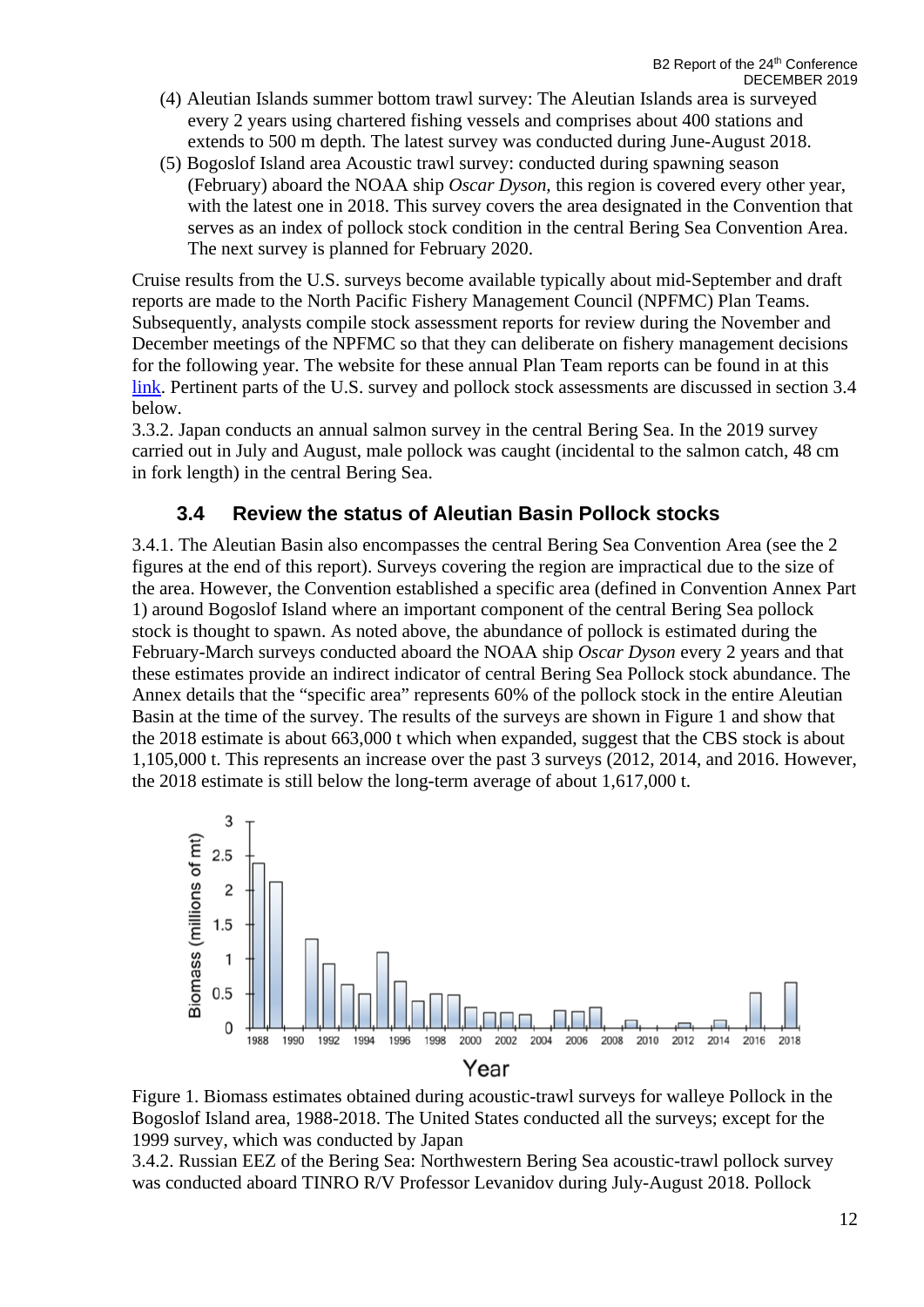- (4) Aleutian Islands summer bottom trawl survey: The Aleutian Islands area is surveyed every 2 years using chartered fishing vessels and comprises about 400 stations and extends to 500 m depth. The latest survey was conducted during June-August 2018.
- (5) Bogoslof Island area Acoustic trawl survey: conducted during spawning season (February) aboard the NOAA ship *Oscar Dyson,* this region is covered every other year, with the latest one in 2018. This survey covers the area designated in the Convention that serves as an index of pollock stock condition in the central Bering Sea Convention Area. The next survey is planned for February 2020.

Cruise results from the U.S. surveys become available typically about mid-September and draft reports are made to the North Pacific Fishery Management Council (NPFMC) Plan Teams. Subsequently, analysts compile stock assessment reports for review during the November and December meetings of the NPFMC so that they can deliberate on fishery management decisions for the following year. The website for these annual Plan Team reports can be found in at this [link.](https://www.fisheries.noaa.gov/alaska/population-assessments/north-pacific-groundfish-stock-assessment-and-fishery-evaluation) Pertinent parts of the U.S. survey and pollock stock assessments are discussed in section 3.4 below.

3.3.2. Japan conducts an annual salmon survey in the central Bering Sea. In the 2019 survey carried out in July and August, male pollock was caught (incidental to the salmon catch, 48 cm in fork length) in the central Bering Sea.

### **3.4 Review the status of Aleutian Basin Pollock stocks**

3.4.1. The Aleutian Basin also encompasses the central Bering Sea Convention Area (see the 2 figures at the end of this report). Surveys covering the region are impractical due to the size of the area. However, the Convention established a specific area (defined in Convention Annex Part 1) around Bogoslof Island where an important component of the central Bering Sea pollock stock is thought to spawn. As noted above, the abundance of pollock is estimated during the February-March surveys conducted aboard the NOAA ship *Oscar Dyson* every 2 years and that these estimates provide an indirect indicator of central Bering Sea Pollock stock abundance. The Annex details that the "specific area" represents 60% of the pollock stock in the entire Aleutian Basin at the time of the survey. The results of the surveys are shown in Figure 1 and show that the 2018 estimate is about 663,000 t which when expanded, suggest that the CBS stock is about 1,105,000 t. This represents an increase over the past 3 surveys (2012, 2014, and 2016. However, the 2018 estimate is still below the long-term average of about 1,617,000 t.



Figure 1. Biomass estimates obtained during acoustic-trawl surveys for walleye Pollock in the Bogoslof Island area, 1988-2018. The United States conducted all the surveys; except for the 1999 survey, which was conducted by Japan

3.4.2. Russian EEZ of the Bering Sea: Northwestern Bering Sea acoustic-trawl pollock survey was conducted aboard TINRO R/V Professor Levanidov during July-August 2018. Pollock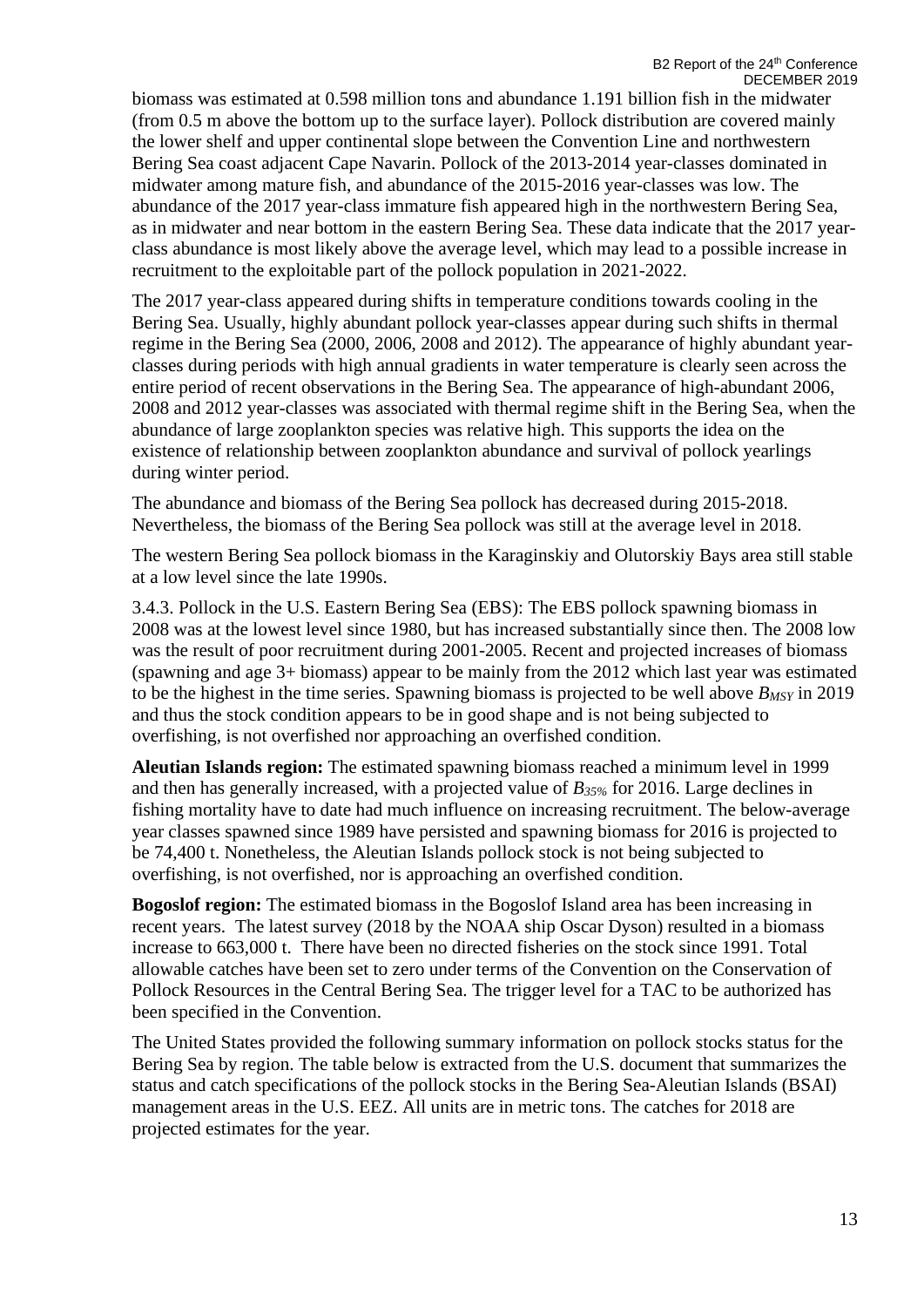biomass was estimated at 0.598 million tons and abundance 1.191 billion fish in the midwater (from 0.5 m above the bottom up to the surface layer). Pollock distribution are covered mainly the lower shelf and upper continental slope between the Convention Line and northwestern Bering Sea coast adjacent Cape Navarin. Pollock of the 2013-2014 year-classes dominated in midwater among mature fish, and abundance of the 2015-2016 year-classes was low. The abundance of the 2017 year-class immature fish appeared high in the northwestern Bering Sea, as in midwater and near bottom in the eastern Bering Sea. These data indicate that the 2017 yearclass abundance is most likely above the average level, which may lead to a possible increase in recruitment to the exploitable part of the pollock population in 2021-2022.

The 2017 year-class appeared during shifts in temperature conditions towards cooling in the Bering Sea. Usually, highly abundant pollock year-classes appear during such shifts in thermal regime in the Bering Sea (2000, 2006, 2008 and 2012). The appearance of highly abundant yearclasses during periods with high annual gradients in water temperature is clearly seen across the entire period of recent observations in the Bering Sea. The appearance of high-abundant 2006, 2008 and 2012 year-classes was associated with thermal regime shift in the Bering Sea, when the abundance of large zooplankton species was relative high. This supports the idea on the existence of relationship between zooplankton abundance and survival of pollock yearlings during winter period.

The abundance and biomass of the Bering Sea pollock has decreased during 2015-2018. Nevertheless, the biomass of the Bering Sea pollock was still at the average level in 2018.

The western Bering Sea pollock biomass in the Karaginskiy and Olutorskiy Bays area still stable at a low level since the late 1990s.

3.4.3. Pollock in the U.S. Eastern Bering Sea (EBS): The EBS pollock spawning biomass in 2008 was at the lowest level since 1980, but has increased substantially since then. The 2008 low was the result of poor recruitment during 2001-2005. Recent and projected increases of biomass (spawning and age 3+ biomass) appear to be mainly from the 2012 which last year was estimated to be the highest in the time series. Spawning biomass is projected to be well above *BMSY* in 2019 and thus the stock condition appears to be in good shape and is not being subjected to overfishing, is not overfished nor approaching an overfished condition.

**Aleutian Islands region:** The estimated spawning biomass reached a minimum level in 1999 and then has generally increased, with a projected value of *B35%* for 2016. Large declines in fishing mortality have to date had much influence on increasing recruitment. The below-average year classes spawned since 1989 have persisted and spawning biomass for 2016 is projected to be 74,400 t. Nonetheless, the Aleutian Islands pollock stock is not being subjected to overfishing, is not overfished, nor is approaching an overfished condition.

**Bogoslof region:** The estimated biomass in the Bogoslof Island area has been increasing in recent years. The latest survey (2018 by the NOAA ship Oscar Dyson) resulted in a biomass increase to 663,000 t. There have been no directed fisheries on the stock since 1991. Total allowable catches have been set to zero under terms of the Convention on the Conservation of Pollock Resources in the Central Bering Sea. The trigger level for a TAC to be authorized has been specified in the Convention.

The United States provided the following summary information on pollock stocks status for the Bering Sea by region. The table below is extracted from the U.S. document that summarizes the status and catch specifications of the pollock stocks in the Bering Sea-Aleutian Islands (BSAI) management areas in the U.S. EEZ. All units are in metric tons. The catches for 2018 are projected estimates for the year.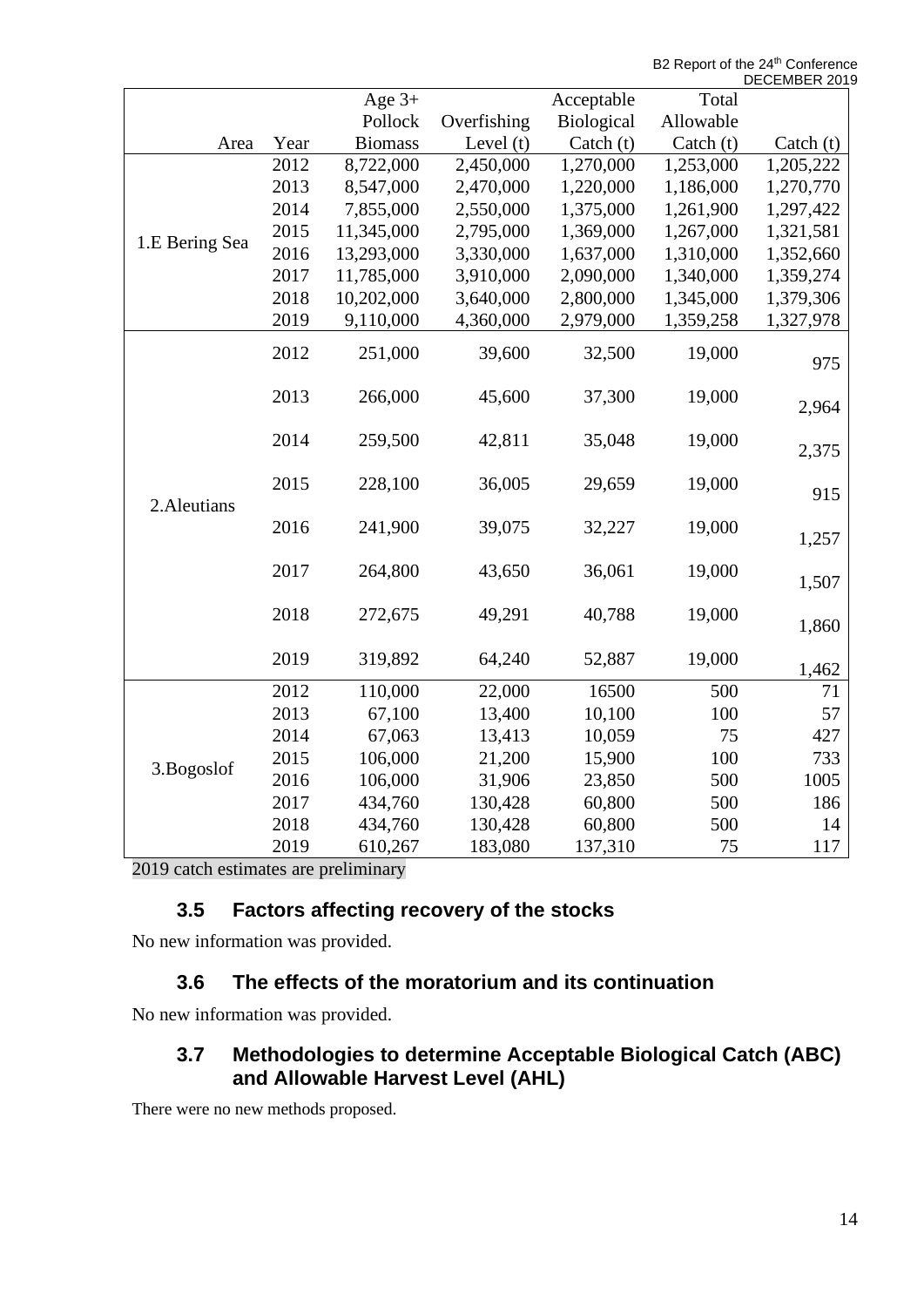B2 Report of the 24<sup>th</sup> Conference ER 2019

|                |      |                |             |             |             | DECEMBER 201 |
|----------------|------|----------------|-------------|-------------|-------------|--------------|
|                |      | Age $3+$       |             | Acceptable  | Total       |              |
|                |      | Pollock        | Overfishing | Biological  | Allowable   |              |
| Area           | Year | <b>Biomass</b> | Level $(t)$ | Catch $(t)$ | Catch $(t)$ | Catch $(t)$  |
|                | 2012 | 8,722,000      | 2,450,000   | 1,270,000   | 1,253,000   | 1,205,222    |
|                | 2013 | 8,547,000      | 2,470,000   | 1,220,000   | 1,186,000   | 1,270,770    |
|                | 2014 | 7,855,000      | 2,550,000   | 1,375,000   | 1,261,900   | 1,297,422    |
|                | 2015 | 11,345,000     | 2,795,000   | 1,369,000   | 1,267,000   | 1,321,581    |
| 1.E Bering Sea | 2016 | 13,293,000     | 3,330,000   | 1,637,000   | 1,310,000   | 1,352,660    |
|                | 2017 | 11,785,000     | 3,910,000   | 2,090,000   | 1,340,000   | 1,359,274    |
|                | 2018 | 10,202,000     | 3,640,000   | 2,800,000   | 1,345,000   | 1,379,306    |
|                | 2019 | 9,110,000      | 4,360,000   | 2,979,000   | 1,359,258   | 1,327,978    |
| 2. Aleutians   | 2012 | 251,000        | 39,600      | 32,500      | 19,000      | 975          |
|                | 2013 | 266,000        | 45,600      | 37,300      | 19,000      | 2,964        |
|                | 2014 | 259,500        | 42,811      | 35,048      | 19,000      | 2,375        |
|                | 2015 | 228,100        | 36,005      | 29,659      | 19,000      | 915          |
|                | 2016 | 241,900        | 39,075      | 32,227      | 19,000      | 1,257        |
|                | 2017 | 264,800        | 43,650      | 36,061      | 19,000      | 1,507        |
|                | 2018 | 272,675        | 49,291      | 40,788      | 19,000      | 1,860        |
|                | 2019 | 319,892        | 64,240      | 52,887      | 19,000      | 1,462        |
| 3.Bogoslof     | 2012 | 110,000        | 22,000      | 16500       | 500         | 71           |
|                | 2013 | 67,100         | 13,400      | 10,100      | 100         | 57           |
|                | 2014 | 67,063         | 13,413      | 10,059      | 75          | 427          |
|                | 2015 | 106,000        | 21,200      | 15,900      | 100         | 733          |
|                | 2016 | 106,000        | 31,906      | 23,850      | 500         | 1005         |
|                | 2017 | 434,760        | 130,428     | 60,800      | 500         | 186          |
|                | 2018 | 434,760        | 130,428     | 60,800      | 500         | 14           |
|                | 2019 | 610,267        | 183,080     | 137,310     | 75          | 117          |

2019 catch estimates are preliminary

# **3.5 Factors affecting recovery of the stocks**

No new information was provided.

# **3.6 The effects of the moratorium and its continuation**

No new information was provided.

## **3.7 Methodologies to determine Acceptable Biological Catch (ABC) and Allowable Harvest Level (AHL)**

There were no new methods proposed.